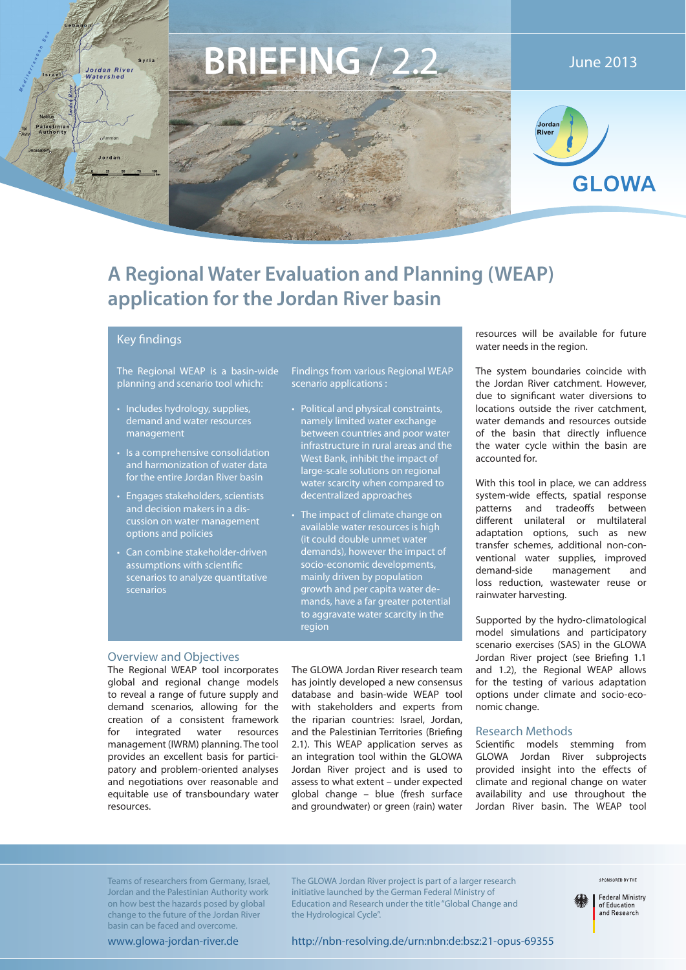

# **A Regional Water Evaluation and Planning (WEAP) application for the Jordan River basin**

### **Key findings**

The Regional WEAP is a basin-wide planning and scenario tool which:

- Includes hydrology, supplies, demand and water resources management
- Is a comprehensive consolidation and harmonization of water data for the entire Jordan River basin
- Engages stakeholders, scientists and decision makers in a discussion on water management options and policies
- Can combine stakeholder-driven assumptions with scientific scenarios to analyze quantitative scenarios

Findings from various Regional WEAP scenario applications :

- Political and physical constraints, namely limited water exchange between countries and poor water infrastructure in rural areas and the West Bank, inhibit the impact of large-scale solutions on regional water scarcity when compared to decentralized approaches
- The impact of climate change on available water resources is high (it could double unmet water demands), however the impact of socio-economic developments, mainly driven by population growth and per capita water demands, have a far greater potential to aggravate water scarcity in the region

#### Overview and Objectives

The Regional WEAP tool incorporates global and regional change models to reveal a range of future supply and demand scenarios, allowing for the creation of a consistent framework for integrated water resources management (IWRM) planning. The tool provides an excellent basis for participatory and problem-oriented analyses and negotiations over reasonable and equitable use of transboundary water resources.

The GLOWA Jordan River research team has jointly developed a new consensus database and basin-wide WEAP tool with stakeholders and experts from the riparian countries: Israel, Jordan, and the Palestinian Territories (Briefing 2.1). This WEAP application serves as an integration tool within the GLOWA Jordan River project and is used to assess to what extent – under expected global change – blue (fresh surface and groundwater) or green (rain) water

resources will be available for future water needs in the region.

The system boundaries coincide with the Jordan River catchment. However, due to significant water diversions to locations outside the river catchment, water demands and resources outside of the basin that directly influence the water cycle within the basin are accounted for.

With this tool in place, we can address system-wide effects, spatial response patterns and tradeoffs between different unilateral or multilateral adaptation options, such as new transfer schemes, additional non-conventional water supplies, improved demand-side management and loss reduction, wastewater reuse or rainwater harvesting.

Supported by the hydro-climatological model simulations and participatory scenario exercises (SAS) in the GLOWA Jordan River project (see Briefing 1.1 and 1.2), the Regional WEAP allows for the testing of various adaptation options under climate and socio-economic change.

#### Research Methods

Scientific models stemming from GLOWA Jordan River subprojects provided insight into the effects of climate and regional change on water availability and use throughout the Jordan River basin. The WEAP tool

Teams of researchers from Germany, Israel, Jordan and the Palestinian Authority work on how best the hazards posed by global change to the future of the Jordan River basin can be faced and overcome.

The GLOWA Jordan River project is part of a larger research initiative launched by the German Federal Ministry of Education and Research under the title "Global Change and the Hydrological Cycle".

SPONSORED BY THE

**Federal Ministry** of Education<br>and Research

http://nbn-resolving.de/urn:nbn:de:bsz:21-opus-69355